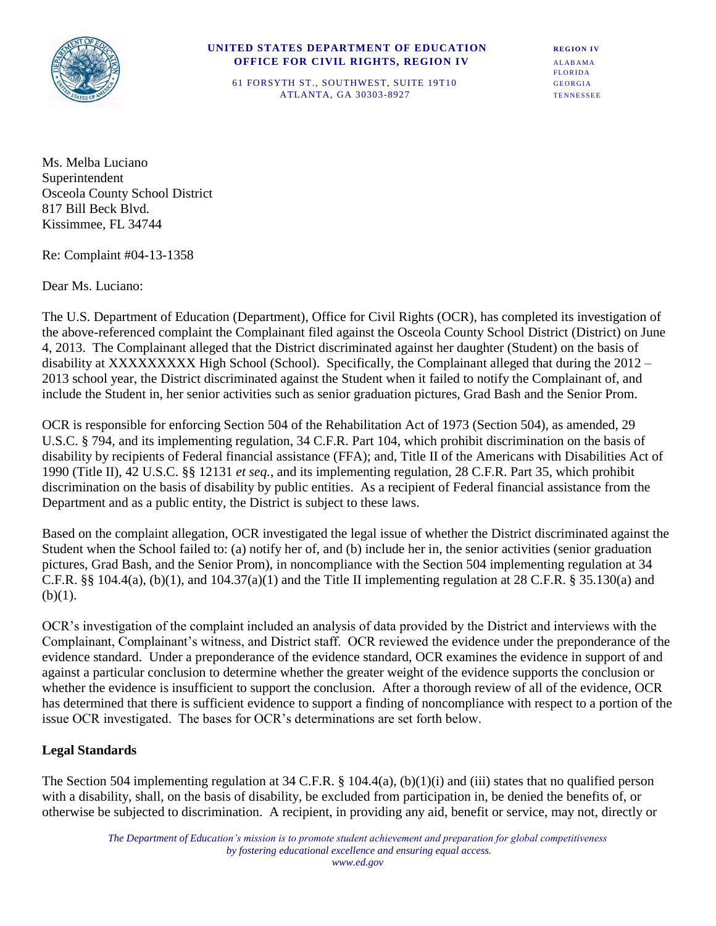

#### **UNITED STATES DEPARTMENT OF EDUCATION REGION IV** *OFFICE FOR CIVIL RIGHTS, REGION IV ALABAMA*

FLORIDA 61 FORSYTH ST., SOUTHWEST, SUITE 19T10 GEORGIA ATLANTA, GA 30303-8927 TENNESSEE

Ms. Melba Luciano Superintendent Osceola County School District 817 Bill Beck Blvd. Kissimmee, FL 34744

Re: Complaint #04-13-1358

Dear Ms. Luciano:

The U.S. Department of Education (Department), Office for Civil Rights (OCR), has completed its investigation of the above-referenced complaint the Complainant filed against the Osceola County School District (District) on June 4, 2013. The Complainant alleged that the District discriminated against her daughter (Student) on the basis of disability at XXXXXXXXX High School (School). Specifically, the Complainant alleged that during the 2012 – 2013 school year, the District discriminated against the Student when it failed to notify the Complainant of, and include the Student in, her senior activities such as senior graduation pictures, Grad Bash and the Senior Prom.

OCR is responsible for enforcing Section 504 of the Rehabilitation Act of 1973 (Section 504), as amended, 29 U.S.C. § 794, and its implementing regulation, 34 C.F.R. Part 104, which prohibit discrimination on the basis of disability by recipients of Federal financial assistance (FFA); and, Title II of the Americans with Disabilities Act of 1990 (Title II), 42 U.S.C. §§ 12131 *et seq.*, and its implementing regulation, 28 C.F.R. Part 35, which prohibit discrimination on the basis of disability by public entities. As a recipient of Federal financial assistance from the Department and as a public entity, the District is subject to these laws.

Based on the complaint allegation, OCR investigated the legal issue of whether the District discriminated against the Student when the School failed to: (a) notify her of, and (b) include her in, the senior activities (senior graduation pictures, Grad Bash, and the Senior Prom), in noncompliance with the Section 504 implementing regulation at 34 C.F.R. §§ 104.4(a), (b)(1), and 104.37(a)(1) and the Title II implementing regulation at 28 C.F.R. § 35.130(a) and  $(b)(1)$ .

OCR's investigation of the complaint included an analysis of data provided by the District and interviews with the Complainant, Complainant's witness, and District staff. OCR reviewed the evidence under the preponderance of the evidence standard. Under a preponderance of the evidence standard, OCR examines the evidence in support of and against a particular conclusion to determine whether the greater weight of the evidence supports the conclusion or whether the evidence is insufficient to support the conclusion. After a thorough review of all of the evidence, OCR has determined that there is sufficient evidence to support a finding of noncompliance with respect to a portion of the issue OCR investigated. The bases for OCR's determinations are set forth below.

## **Legal Standards**

The Section 504 implementing regulation at 34 C.F.R. § 104.4(a), (b)(1)(i) and (iii) states that no qualified person with a disability, shall, on the basis of disability, be excluded from participation in, be denied the benefits of, or otherwise be subjected to discrimination. A recipient, in providing any aid, benefit or service, may not, directly or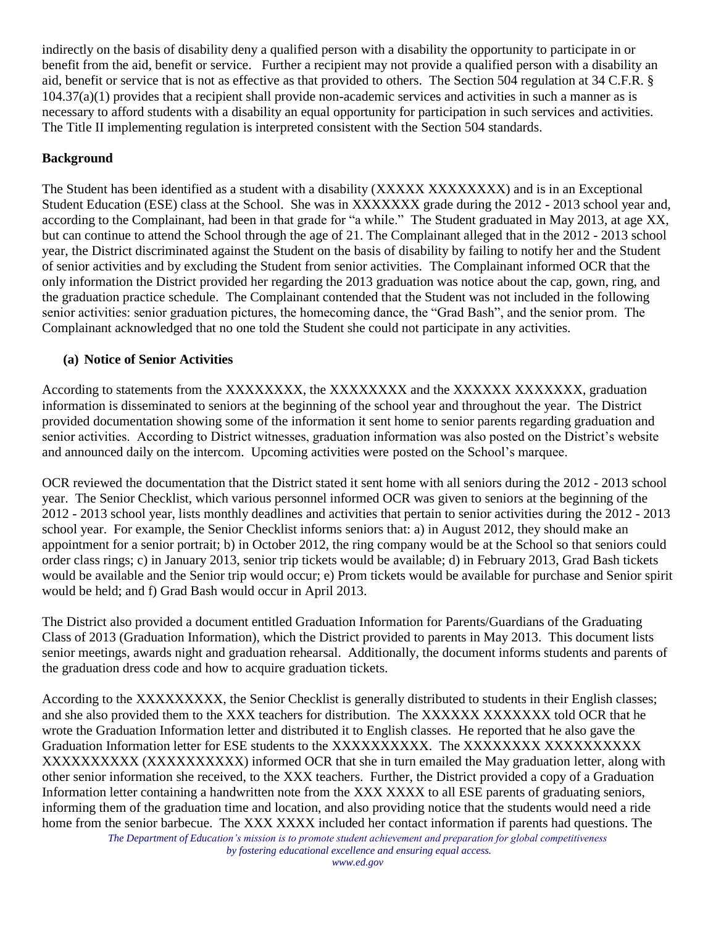indirectly on the basis of disability deny a qualified person with a disability the opportunity to participate in or benefit from the aid, benefit or service. Further a recipient may not provide a qualified person with a disability an aid, benefit or service that is not as effective as that provided to others. The Section 504 regulation at 34 C.F.R. §  $104.37(a)(1)$  provides that a recipient shall provide non-academic services and activities in such a manner as is necessary to afford students with a disability an equal opportunity for participation in such services and activities. The Title II implementing regulation is interpreted consistent with the Section 504 standards.

## **Background**

The Student has been identified as a student with a disability (XXXXX XXXXXXXX) and is in an Exceptional Student Education (ESE) class at the School. She was in XXXXXXX grade during the 2012 - 2013 school year and, according to the Complainant, had been in that grade for "a while." The Student graduated in May 2013, at age XX, but can continue to attend the School through the age of 21. The Complainant alleged that in the 2012 - 2013 school year, the District discriminated against the Student on the basis of disability by failing to notify her and the Student of senior activities and by excluding the Student from senior activities. The Complainant informed OCR that the only information the District provided her regarding the 2013 graduation was notice about the cap, gown, ring, and the graduation practice schedule. The Complainant contended that the Student was not included in the following senior activities: senior graduation pictures, the homecoming dance, the "Grad Bash", and the senior prom. The Complainant acknowledged that no one told the Student she could not participate in any activities.

## **(a) Notice of Senior Activities**

According to statements from the XXXXXXXX, the XXXXXXXX and the XXXXXXX XXXXXXX, graduation information is disseminated to seniors at the beginning of the school year and throughout the year. The District provided documentation showing some of the information it sent home to senior parents regarding graduation and senior activities. According to District witnesses, graduation information was also posted on the District's website and announced daily on the intercom. Upcoming activities were posted on the School's marquee.

OCR reviewed the documentation that the District stated it sent home with all seniors during the 2012 - 2013 school year. The Senior Checklist, which various personnel informed OCR was given to seniors at the beginning of the 2012 - 2013 school year, lists monthly deadlines and activities that pertain to senior activities during the 2012 - 2013 school year. For example, the Senior Checklist informs seniors that: a) in August 2012, they should make an appointment for a senior portrait; b) in October 2012, the ring company would be at the School so that seniors could order class rings; c) in January 2013, senior trip tickets would be available; d) in February 2013, Grad Bash tickets would be available and the Senior trip would occur; e) Prom tickets would be available for purchase and Senior spirit would be held; and f) Grad Bash would occur in April 2013.

The District also provided a document entitled Graduation Information for Parents/Guardians of the Graduating Class of 2013 (Graduation Information), which the District provided to parents in May 2013. This document lists senior meetings, awards night and graduation rehearsal. Additionally, the document informs students and parents of the graduation dress code and how to acquire graduation tickets.

According to the XXXXXXXXX, the Senior Checklist is generally distributed to students in their English classes; and she also provided them to the XXX teachers for distribution. The XXXXXX XXXXXXX told OCR that he wrote the Graduation Information letter and distributed it to English classes. He reported that he also gave the Graduation Information letter for ESE students to the XXXXXXXXXX. The XXXXXXXX XXXXXXXXXX XXXXXXXXXX (XXXXXXXXXX) informed OCR that she in turn emailed the May graduation letter, along with other senior information she received, to the XXX teachers. Further, the District provided a copy of a Graduation Information letter containing a handwritten note from the XXX XXXX to all ESE parents of graduating seniors, informing them of the graduation time and location, and also providing notice that the students would need a ride home from the senior barbecue. The XXX XXXX included her contact information if parents had questions. The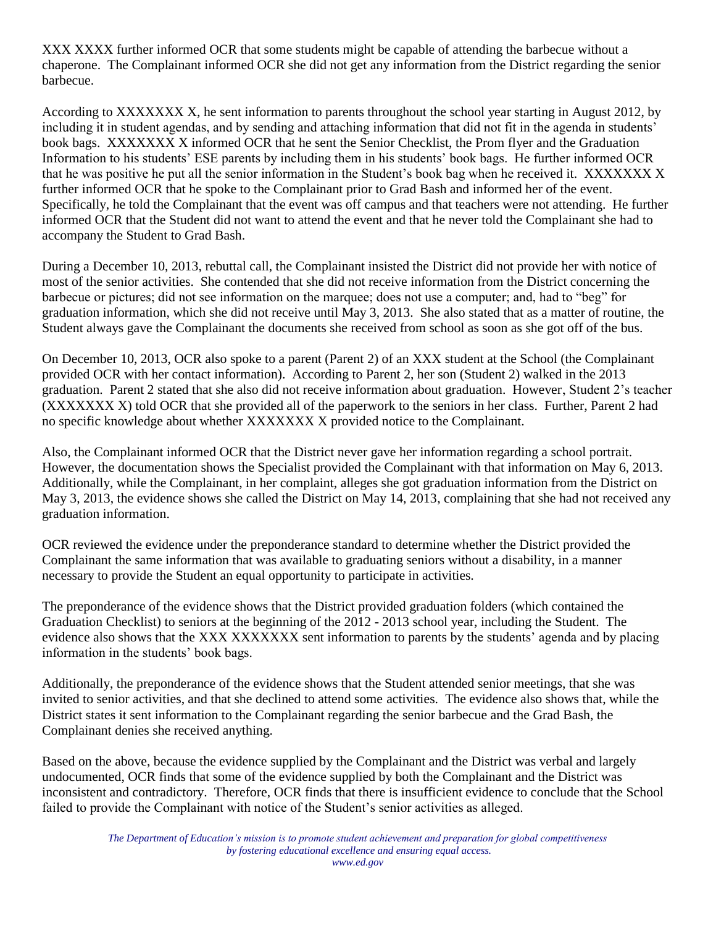XXX XXXX further informed OCR that some students might be capable of attending the barbecue without a chaperone. The Complainant informed OCR she did not get any information from the District regarding the senior barbecue.

According to XXXXXXX X, he sent information to parents throughout the school year starting in August 2012, by including it in student agendas, and by sending and attaching information that did not fit in the agenda in students' book bags. XXXXXXX X informed OCR that he sent the Senior Checklist, the Prom flyer and the Graduation Information to his students' ESE parents by including them in his students' book bags. He further informed OCR that he was positive he put all the senior information in the Student's book bag when he received it. XXXXXXX X further informed OCR that he spoke to the Complainant prior to Grad Bash and informed her of the event. Specifically, he told the Complainant that the event was off campus and that teachers were not attending. He further informed OCR that the Student did not want to attend the event and that he never told the Complainant she had to accompany the Student to Grad Bash.

During a December 10, 2013, rebuttal call, the Complainant insisted the District did not provide her with notice of most of the senior activities. She contended that she did not receive information from the District concerning the barbecue or pictures; did not see information on the marquee; does not use a computer; and, had to "beg" for graduation information, which she did not receive until May 3, 2013. She also stated that as a matter of routine, the Student always gave the Complainant the documents she received from school as soon as she got off of the bus.

On December 10, 2013, OCR also spoke to a parent (Parent 2) of an XXX student at the School (the Complainant provided OCR with her contact information). According to Parent 2, her son (Student 2) walked in the 2013 graduation. Parent 2 stated that she also did not receive information about graduation. However, Student 2's teacher (XXXXXXX X) told OCR that she provided all of the paperwork to the seniors in her class. Further, Parent 2 had no specific knowledge about whether XXXXXXX X provided notice to the Complainant.

Also, the Complainant informed OCR that the District never gave her information regarding a school portrait. However, the documentation shows the Specialist provided the Complainant with that information on May 6, 2013. Additionally, while the Complainant, in her complaint, alleges she got graduation information from the District on May 3, 2013, the evidence shows she called the District on May 14, 2013, complaining that she had not received any graduation information.

OCR reviewed the evidence under the preponderance standard to determine whether the District provided the Complainant the same information that was available to graduating seniors without a disability, in a manner necessary to provide the Student an equal opportunity to participate in activities.

The preponderance of the evidence shows that the District provided graduation folders (which contained the Graduation Checklist) to seniors at the beginning of the 2012 - 2013 school year, including the Student. The evidence also shows that the XXX XXXXXXX sent information to parents by the students' agenda and by placing information in the students' book bags.

Additionally, the preponderance of the evidence shows that the Student attended senior meetings, that she was invited to senior activities, and that she declined to attend some activities. The evidence also shows that, while the District states it sent information to the Complainant regarding the senior barbecue and the Grad Bash, the Complainant denies she received anything.

Based on the above, because the evidence supplied by the Complainant and the District was verbal and largely undocumented, OCR finds that some of the evidence supplied by both the Complainant and the District was inconsistent and contradictory. Therefore, OCR finds that there is insufficient evidence to conclude that the School failed to provide the Complainant with notice of the Student's senior activities as alleged.